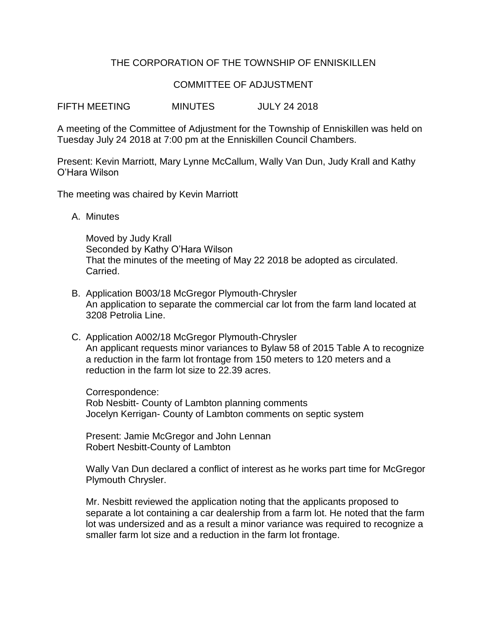## THE CORPORATION OF THE TOWNSHIP OF ENNISKILLEN

## COMMITTEE OF ADJUSTMENT

FIFTH MEETING MINUTES JULY 24 2018

A meeting of the Committee of Adjustment for the Township of Enniskillen was held on Tuesday July 24 2018 at 7:00 pm at the Enniskillen Council Chambers.

Present: Kevin Marriott, Mary Lynne McCallum, Wally Van Dun, Judy Krall and Kathy O'Hara Wilson

The meeting was chaired by Kevin Marriott

A. Minutes

Moved by Judy Krall Seconded by Kathy O'Hara Wilson That the minutes of the meeting of May 22 2018 be adopted as circulated. Carried.

- B. Application B003/18 McGregor Plymouth-Chrysler An application to separate the commercial car lot from the farm land located at 3208 Petrolia Line.
- C. Application A002/18 McGregor Plymouth-Chrysler An applicant requests minor variances to Bylaw 58 of 2015 Table A to recognize a reduction in the farm lot frontage from 150 meters to 120 meters and a reduction in the farm lot size to 22.39 acres.

Correspondence: Rob Nesbitt- County of Lambton planning comments Jocelyn Kerrigan- County of Lambton comments on septic system

Present: Jamie McGregor and John Lennan Robert Nesbitt-County of Lambton

Wally Van Dun declared a conflict of interest as he works part time for McGregor Plymouth Chrysler.

Mr. Nesbitt reviewed the application noting that the applicants proposed to separate a lot containing a car dealership from a farm lot. He noted that the farm lot was undersized and as a result a minor variance was required to recognize a smaller farm lot size and a reduction in the farm lot frontage.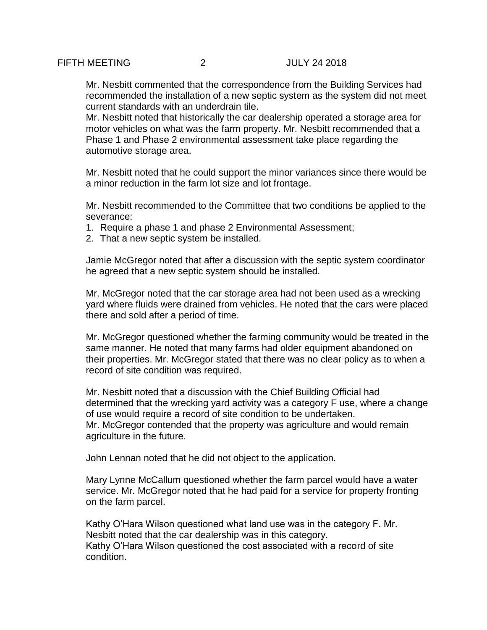Mr. Nesbitt commented that the correspondence from the Building Services had recommended the installation of a new septic system as the system did not meet current standards with an underdrain tile.

Mr. Nesbitt noted that historically the car dealership operated a storage area for motor vehicles on what was the farm property. Mr. Nesbitt recommended that a Phase 1 and Phase 2 environmental assessment take place regarding the automotive storage area.

Mr. Nesbitt noted that he could support the minor variances since there would be a minor reduction in the farm lot size and lot frontage.

Mr. Nesbitt recommended to the Committee that two conditions be applied to the severance:

- 1. Require a phase 1 and phase 2 Environmental Assessment;
- 2. That a new septic system be installed.

Jamie McGregor noted that after a discussion with the septic system coordinator he agreed that a new septic system should be installed.

Mr. McGregor noted that the car storage area had not been used as a wrecking yard where fluids were drained from vehicles. He noted that the cars were placed there and sold after a period of time.

Mr. McGregor questioned whether the farming community would be treated in the same manner. He noted that many farms had older equipment abandoned on their properties. Mr. McGregor stated that there was no clear policy as to when a record of site condition was required.

Mr. Nesbitt noted that a discussion with the Chief Building Official had determined that the wrecking yard activity was a category F use, where a change of use would require a record of site condition to be undertaken. Mr. McGregor contended that the property was agriculture and would remain agriculture in the future.

John Lennan noted that he did not object to the application.

Mary Lynne McCallum questioned whether the farm parcel would have a water service. Mr. McGregor noted that he had paid for a service for property fronting on the farm parcel.

Kathy O'Hara Wilson questioned what land use was in the category F. Mr. Nesbitt noted that the car dealership was in this category. Kathy O'Hara Wilson questioned the cost associated with a record of site condition.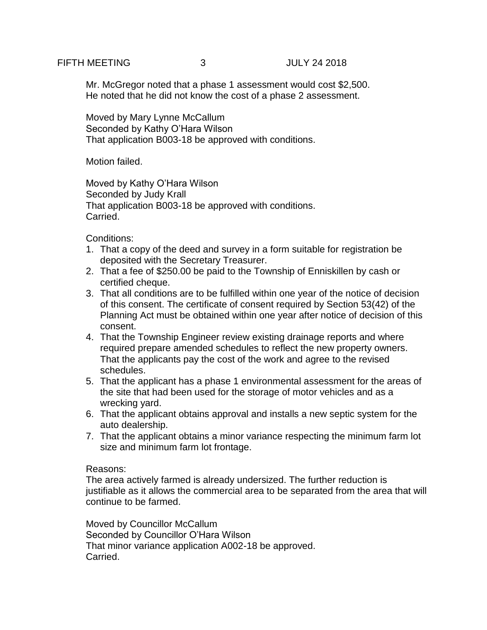Mr. McGregor noted that a phase 1 assessment would cost \$2,500. He noted that he did not know the cost of a phase 2 assessment.

Moved by Mary Lynne McCallum Seconded by Kathy O'Hara Wilson That application B003-18 be approved with conditions.

Motion failed.

Moved by Kathy O'Hara Wilson Seconded by Judy Krall That application B003-18 be approved with conditions. Carried.

Conditions:

- 1. That a copy of the deed and survey in a form suitable for registration be deposited with the Secretary Treasurer.
- 2. That a fee of \$250.00 be paid to the Township of Enniskillen by cash or certified cheque.
- 3. That all conditions are to be fulfilled within one year of the notice of decision of this consent. The certificate of consent required by Section 53(42) of the Planning Act must be obtained within one year after notice of decision of this consent.
- 4. That the Township Engineer review existing drainage reports and where required prepare amended schedules to reflect the new property owners. That the applicants pay the cost of the work and agree to the revised schedules.
- 5. That the applicant has a phase 1 environmental assessment for the areas of the site that had been used for the storage of motor vehicles and as a wrecking yard.
- 6. That the applicant obtains approval and installs a new septic system for the auto dealership.
- 7. That the applicant obtains a minor variance respecting the minimum farm lot size and minimum farm lot frontage.

## Reasons:

The area actively farmed is already undersized. The further reduction is justifiable as it allows the commercial area to be separated from the area that will continue to be farmed.

Moved by Councillor McCallum Seconded by Councillor O'Hara Wilson That minor variance application A002-18 be approved. Carried.